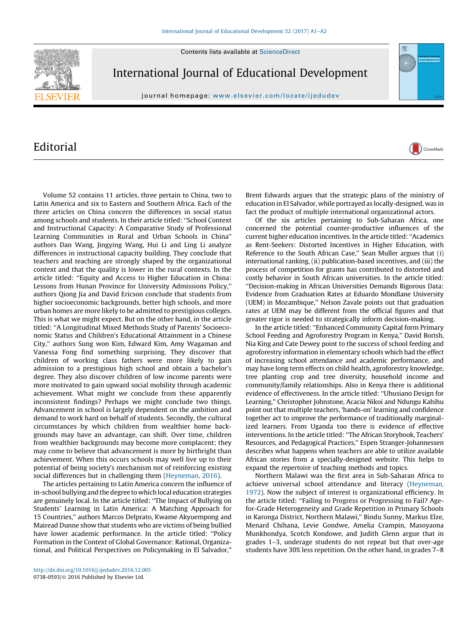Contents lists available at [ScienceDirect](http://www.sciencedirect.com/science/journal/07380593)



International Journal of Educational Development

journal homepage: <www.elsevier.com/locate/ijedudev>

## Editorial

Volume 52 contains 11 articles, three pertain to China, two to Latin America and six to Eastern and Southern Africa. Each of the three articles on China concern the differences in social status among schools and students. In their article titled: ''School Context and Instructional Capacity: A Comparative Study of Professional Learning Communities in Rural and Urban Schools in China'' authors Dan Wang, Jingying Wang, Hui Li and Ling Li analyze differences in instructional capacity building. They conclude that teachers and teaching are strongly shaped by the organizational context and that the quality is lower in the rural contexts. In the article titled: ''Equity and Access to Higher Education in China: Lessons from Hunan Province for University Admissions Policy,'' authors Qiong Jia and David Ericson conclude that students from higher socioeconomic backgrounds, better high schools, and more urban homes are more likely to be admitted to prestigious colleges. This is what we might expect. But on the other hand, in the article titled: ''A Longitudinal Mixed Methods Study of Parents' Socioeconomic Status and Children's Educational Attainment in a Chinese City,'' authors Sung won Kim, Edward Kim, Amy Wagaman and Vanessa Fong find something surprising. They discover that children of working class fathers were more likely to gain admission to a prestigious high school and obtain a bachelor's degree. They also discover children of low income parents were more motivated to gain upward social mobility through academic achievement. What might we conclude from these apparently inconsistent findings? Perhaps we might conclude two things. Advancement in school is largely dependent on the ambition and demand to work hard on behalf of students. Secondly, the cultural circumstances by which children from wealthier home backgrounds may have an advantage, can shift. Over time, children from wealthier backgrounds may become more complacent; they may come to believe that advancement is more by birthright than achievement. When this occurs schools may well live up to their potential of being society's mechanism not of reinforcing existing social differences but in challenging them [\(Heyneman, 2016\)](#page-1-0).

The articles pertaining to Latin America concern the influence of in-school bullying and the degree towhich local education strategies are genuinely local. In the article titled: ''The Impact of Bullying on Students' Learning in Latin America: A Matching Approach for 15 Countries,'' authors Marcos Delprato, Kwame Akyuempong and Mairead Dunne show that students who are victims of being bullied have lower academic performance. In the article titled: ''Policy Formation in the Context of Global Governance: Rational, Organizational, and Political Perspectives on Policymaking in El Salvador,''

Brent Edwards argues that the strategic plans of the ministry of education in El Salvador, while portrayed as locally-designed, was in fact the product of multiple international organizational actors.

CrossMark

Of the six articles pertaining to Sub-Saharan Africa, one concerned the potential counter-productive influences of the current higher education incentives. In the article titled: ''Academics as Rent-Seekers: Distorted Incentives in Higher Education, with Reference to the South African Case," Sean Muller argues that (i) international ranking, (ii) publication-based incentives, and (iii) the process of competition for grants has contributed to distorted and costly behavior in South African universities. In the article titled: ''Decision-making in African Universities Demands Rigorous Data: Evidence from Graduation Rates at Eduardo Mondlane University (UEM) in Mozambique,'' Nelson Zavale points out that graduation rates at UEM may be different from the official figures and that greater rigor is needed to strategically inform decision-making.

In the article titled: ''Enhanced Community Capital form Primary School Feeding and Agroforestry Program in Kenya,'' David Borish, Nia King and Cate Dewey point to the success of school feeding and agroforestry information in elementary schools which had the effect of increasing school attendance and academic performance, and may have long term effects on child health, agroforestry knowledge, tree planting crop and tree diversity, household income and community/family relationships. Also in Kenya there is additional evidence of effectiveness. In the article titled: ''Uhusiano Design for Learning,'' Christopher Johnstone, Acacia Nikoi and Ndungu Kahihu point out that multiple teachers, 'hands-on' learning and confidence together act to improve the performance of traditionally marginalized learners. From Uganda too there is evidence of effective interventions. In the article titled: ''The African Storybook, Teachers' Resources, and Pedagogical Practices,'' Espen Stranger-Johannessen describes what happens when teachers are able to utilize available African stories from a specially-designed website. This helps to expand the repertoire of teaching methods and topics.

Northern Malawi was the first area in Sub-Saharan Africa to achieve universal school attendance and literacy [\(Heyneman,](#page-1-0) [1972\)](#page-1-0). Now the subject of interest is organizational efficiency. In the article titled: ''Failing to Progress or Progressing to Fail? Agefor-Grade Heterogeneity and Grade Repetition in Primary Schools in Karonga District, Northern Malawi,'' Bindu Sunny, Markus Elze, Menard Chihana, Levie Gondwe, Amelia Crampin, Masoyaona Munkhondya, Scotch Kondowe, and Judith Glenn argue that in grades 1–3, underage students do not repeat but that over-age students have 30% less repetition. On the other hand, in grades 7–8